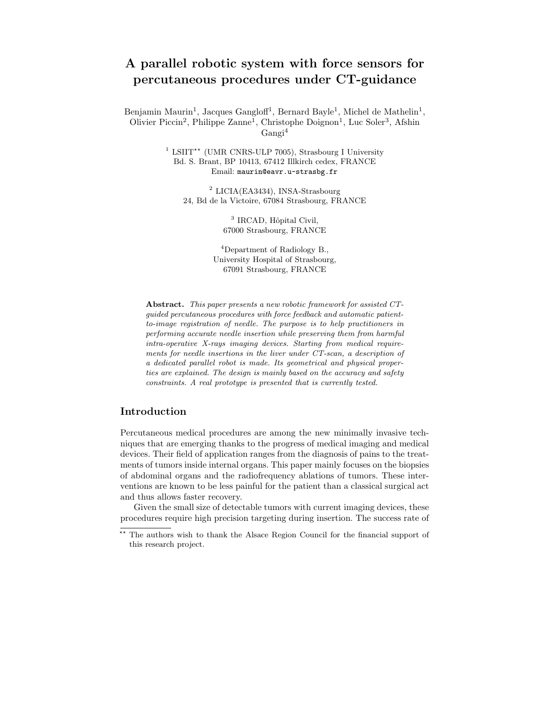# A parallel robotic system with force sensors for percutaneous procedures under CT-guidance

Benjamin Maurin<sup>1</sup>, Jacques Gangloff<sup>1</sup>, Bernard Bayle<sup>1</sup>, Michel de Mathelin<sup>1</sup>, Olivier Piccin<sup>2</sup>, Philippe Zanne<sup>1</sup>, Christophe Doignon<sup>1</sup>, Luc Soler<sup>3</sup>, Afshin  $Gangi<sup>4</sup>$ 

> <sup>1</sup> LSIIT<sup>\*\*</sup> (UMR CNRS-ULP 7005), Strasbourg I University Bd. S. Brant, BP 10413, 67412 Illkirch cedex, FRANCE Email: maurin@eavr.u-strasbg.fr

<sup>2</sup> LICIA(EA3434), INSA-Strasbourg 24, Bd de la Victoire, 67084 Strasbourg, FRANCE

> <sup>3</sup> IRCAD, Hôpital Civil, 67000 Strasbourg, FRANCE

<sup>4</sup>Department of Radiology B., University Hospital of Strasbourg, 67091 Strasbourg, FRANCE

Abstract. This paper presents a new robotic framework for assisted CTguided percutaneous procedures with force feedback and automatic patientto-image registration of needle. The purpose is to help practitioners in performing accurate needle insertion while preserving them from harmful intra-operative X-rays imaging devices. Starting from medical requirements for needle insertions in the liver under CT-scan, a description of a dedicated parallel robot is made. Its geometrical and physical properties are explained. The design is mainly based on the accuracy and safety constraints. A real prototype is presented that is currently tested.

## Introduction

Percutaneous medical procedures are among the new minimally invasive techniques that are emerging thanks to the progress of medical imaging and medical devices. Their field of application ranges from the diagnosis of pains to the treatments of tumors inside internal organs. This paper mainly focuses on the biopsies of abdominal organs and the radiofrequency ablations of tumors. These interventions are known to be less painful for the patient than a classical surgical act and thus allows faster recovery.

Given the small size of detectable tumors with current imaging devices, these procedures require high precision targeting during insertion. The success rate of

<sup>\*\*</sup> The authors wish to thank the Alsace Region Council for the financial support of this research project.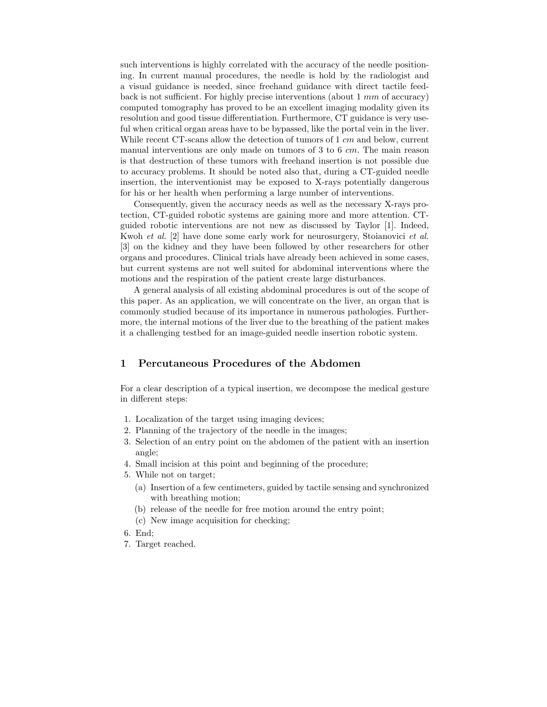such interventions is highly correlated with the accuracy of the needle positioning. In current manual procedures, the needle is hold by the radiologist and a visual guidance is needed, since freehand guidance with direct tactile feedback is not sufficient. For highly precise interventions (about  $1 \, mm$  of accuracy) computed tomography has proved to be an excellent imaging modality given its resolution and good tissue differentiation. Furthermore, CT guidance is very useful when critical organ areas have to be bypassed, like the portal vein in the liver. While recent CT-scans allow the detection of tumors of 1 cm and below, current manual interventions are only made on tumors of  $3 \text{ to } 6 \text{ cm}$ . The main reason is that destruction of these tumors with freehand insertion is not possible due to accuracy problems. It should be noted also that, during a CT-guided needle insertion, the interventionist may be exposed to X-rays potentially dangerous for his or her health when performing a large number of interventions.

Consequently, given the accuracy needs as well as the necessary X-rays protection, CT-guided robotic systems are gaining more and more attention. CTguided robotic interventions are not new as discussed by Taylor [1]. Indeed, Kwoh et al. [2] have done some early work for neurosurgery, Stoianovici et al. [3] on the kidney and they have been followed by other researchers for other organs and procedures. Clinical trials have already been achieved in some cases, but current systems are not well suited for abdominal interventions where the motions and the respiration of the patient create large disturbances.

A general analysis of all existing abdominal procedures is out of the scope of this paper. As an application, we will concentrate on the liver, an organ that is commonly studied because of its importance in numerous pathologies. Furthermore, the internal motions of the liver due to the breathing of the patient makes it a challenging testbed for an image-guided needle insertion robotic system.

# 1 Percutaneous Procedures of the Abdomen

For a clear description of a typical insertion, we decompose the medical gesture in different steps:

- 1. Localization of the target using imaging devices;
- 2. Planning of the trajectory of the needle in the images;
- 3. Selection of an entry point on the abdomen of the patient with an insertion angle;
- 4. Small incision at this point and beginning of the procedure;
- 5. While not on target;
	- (a) Insertion of a few centimeters, guided by tactile sensing and synchronized with breathing motion;
	- (b) release of the needle for free motion around the entry point;
	- (c) New image acquisition for checking;
- 6. End;
- 7. Target reached.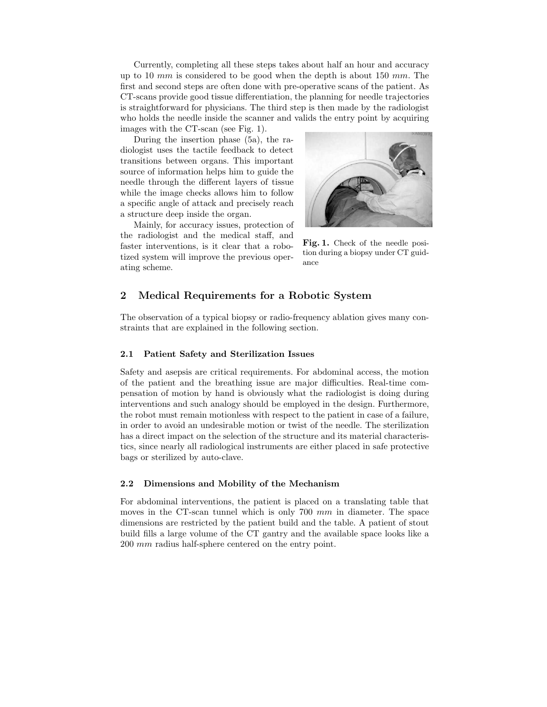Currently, completing all these steps takes about half an hour and accuracy up to 10  $mm$  is considered to be good when the depth is about 150  $mm$ . The first and second steps are often done with pre-operative scans of the patient. As CT-scans provide good tissue differentiation, the planning for needle trajectories is straightforward for physicians. The third step is then made by the radiologist who holds the needle inside the scanner and valids the entry point by acquiring images with the CT-scan (see Fig. 1).

During the insertion phase (5a), the radiologist uses the tactile feedback to detect transitions between organs. This important source of information helps him to guide the needle through the different layers of tissue while the image checks allows him to follow a specific angle of attack and precisely reach a structure deep inside the organ.

Mainly, for accuracy issues, protection of the radiologist and the medical staff, and faster interventions, is it clear that a robotized system will improve the previous operating scheme.



Fig. 1. Check of the needle position during a biopsy under CT guidance

# 2 Medical Requirements for a Robotic System

The observation of a typical biopsy or radio-frequency ablation gives many constraints that are explained in the following section.

### 2.1 Patient Safety and Sterilization Issues

Safety and asepsis are critical requirements. For abdominal access, the motion of the patient and the breathing issue are major difficulties. Real-time compensation of motion by hand is obviously what the radiologist is doing during interventions and such analogy should be employed in the design. Furthermore, the robot must remain motionless with respect to the patient in case of a failure, in order to avoid an undesirable motion or twist of the needle. The sterilization has a direct impact on the selection of the structure and its material characteristics, since nearly all radiological instruments are either placed in safe protective bags or sterilized by auto-clave.

### 2.2 Dimensions and Mobility of the Mechanism

For abdominal interventions, the patient is placed on a translating table that moves in the CT-scan tunnel which is only 700 mm in diameter. The space dimensions are restricted by the patient build and the table. A patient of stout build fills a large volume of the CT gantry and the available space looks like a 200 mm radius half-sphere centered on the entry point.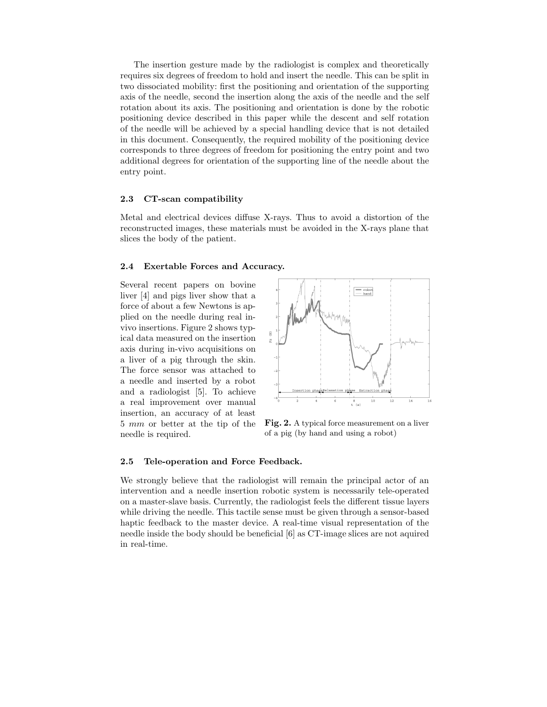The insertion gesture made by the radiologist is complex and theoretically requires six degrees of freedom to hold and insert the needle. This can be split in two dissociated mobility: first the positioning and orientation of the supporting axis of the needle, second the insertion along the axis of the needle and the self rotation about its axis. The positioning and orientation is done by the robotic positioning device described in this paper while the descent and self rotation of the needle will be achieved by a special handling device that is not detailed in this document. Consequently, the required mobility of the positioning device corresponds to three degrees of freedom for positioning the entry point and two additional degrees for orientation of the supporting line of the needle about the entry point.

#### 2.3 CT-scan compatibility

Metal and electrical devices diffuse X-rays. Thus to avoid a distortion of the reconstructed images, these materials must be avoided in the X-rays plane that slices the body of the patient.

#### 2.4 Exertable Forces and Accuracy.

Several recent papers on bovine liver [4] and pigs liver show that a force of about a few Newtons is applied on the needle during real invivo insertions. Figure 2 shows typical data measured on the insertion axis during in-vivo acquisitions on a liver of a pig through the skin. The force sensor was attached to a needle and inserted by a robot and a radiologist [5]. To achieve a real improvement over manual insertion, an accuracy of at least 5 mm or better at the tip of the needle is required.



Fig. 2. A typical force measurement on a liver of a pig (by hand and using a robot)

#### 2.5 Tele-operation and Force Feedback.

We strongly believe that the radiologist will remain the principal actor of an intervention and a needle insertion robotic system is necessarily tele-operated on a master-slave basis. Currently, the radiologist feels the different tissue layers while driving the needle. This tactile sense must be given through a sensor-based haptic feedback to the master device. A real-time visual representation of the needle inside the body should be beneficial [6] as CT-image slices are not aquired in real-time.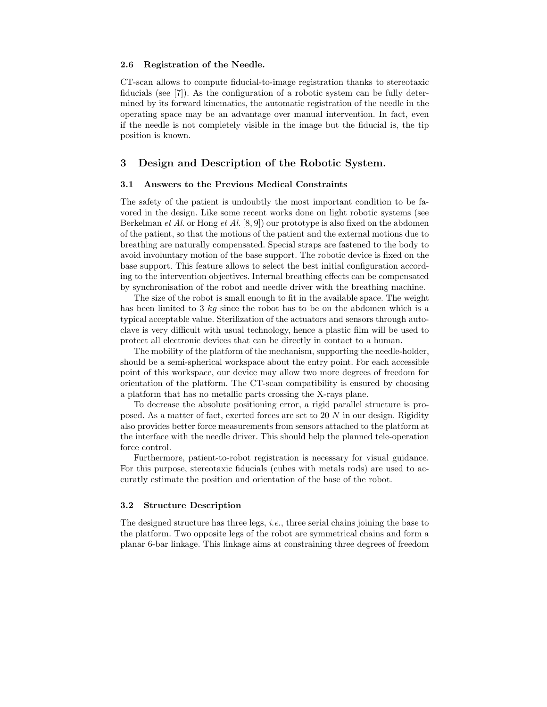#### 2.6 Registration of the Needle.

CT-scan allows to compute fiducial-to-image registration thanks to stereotaxic fiducials (see [7]). As the configuration of a robotic system can be fully determined by its forward kinematics, the automatic registration of the needle in the operating space may be an advantage over manual intervention. In fact, even if the needle is not completely visible in the image but the fiducial is, the tip position is known.

### 3 Design and Description of the Robotic System.

#### 3.1 Answers to the Previous Medical Constraints

The safety of the patient is undoubtly the most important condition to be favored in the design. Like some recent works done on light robotic systems (see Berkelman et Al. or Hong et Al.  $[8, 9]$  our prototype is also fixed on the abdomen of the patient, so that the motions of the patient and the external motions due to breathing are naturally compensated. Special straps are fastened to the body to avoid involuntary motion of the base support. The robotic device is fixed on the base support. This feature allows to select the best initial configuration according to the intervention objectives. Internal breathing effects can be compensated by synchronisation of the robot and needle driver with the breathing machine.

The size of the robot is small enough to fit in the available space. The weight has been limited to  $3 \; kq$  since the robot has to be on the abdomen which is a typical acceptable value. Sterilization of the actuators and sensors through autoclave is very difficult with usual technology, hence a plastic film will be used to protect all electronic devices that can be directly in contact to a human.

The mobility of the platform of the mechanism, supporting the needle-holder, should be a semi-spherical workspace about the entry point. For each accessible point of this workspace, our device may allow two more degrees of freedom for orientation of the platform. The CT-scan compatibility is ensured by choosing a platform that has no metallic parts crossing the X-rays plane.

To decrease the absolute positioning error, a rigid parallel structure is proposed. As a matter of fact, exerted forces are set to 20  $N$  in our design. Rigidity also provides better force measurements from sensors attached to the platform at the interface with the needle driver. This should help the planned tele-operation force control.

Furthermore, patient-to-robot registration is necessary for visual guidance. For this purpose, stereotaxic fiducials (cubes with metals rods) are used to accuratly estimate the position and orientation of the base of the robot.

#### 3.2 Structure Description

The designed structure has three legs, i.e., three serial chains joining the base to the platform. Two opposite legs of the robot are symmetrical chains and form a planar 6-bar linkage. This linkage aims at constraining three degrees of freedom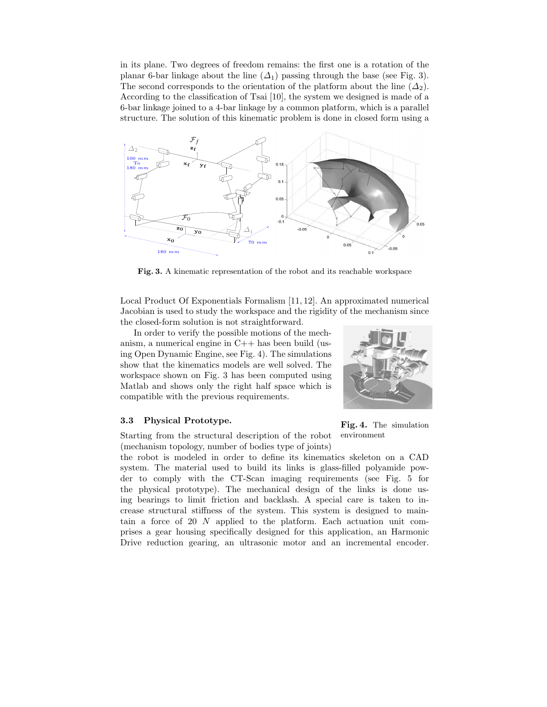in its plane. Two degrees of freedom remains: the first one is a rotation of the planar 6-bar linkage about the line  $(\Delta_1)$  passing through the base (see Fig. 3). The second corresponds to the orientation of the platform about the line  $(\Delta_2)$ . According to the classification of Tsai [10], the system we designed is made of a 6-bar linkage joined to a 4-bar linkage by a common platform, which is a parallel structure. The solution of this kinematic problem is done in closed form using a



Fig. 3. A kinematic representation of the robot and its reachable workspace

Local Product Of Exponentials Formalism [11, 12]. An approximated numerical Jacobian is used to study the workspace and the rigidity of the mechanism since the closed-form solution is not straightforward.

In order to verify the possible motions of the mechanism, a numerical engine in C++ has been build (using Open Dynamic Engine, see Fig. 4). The simulations show that the kinematics models are well solved. The workspace shown on Fig. 3 has been computed using Matlab and shows only the right half space which is compatible with the previous requirements.

#### 3.3 Physical Prototype.

Starting from the structural description of the robot (mechanism topology, number of bodies type of joints)

the robot is modeled in order to define its kinematics skeleton on a CAD system. The material used to build its links is glass-filled polyamide powder to comply with the CT-Scan imaging requirements (see Fig. 5 for the physical prototype). The mechanical design of the links is done using bearings to limit friction and backlash. A special care is taken to increase structural stiffness of the system. This system is designed to maintain a force of 20 N applied to the platform. Each actuation unit comprises a gear housing specifically designed for this application, an Harmonic Drive reduction gearing, an ultrasonic motor and an incremental encoder.



Fig. 4. The simulation environment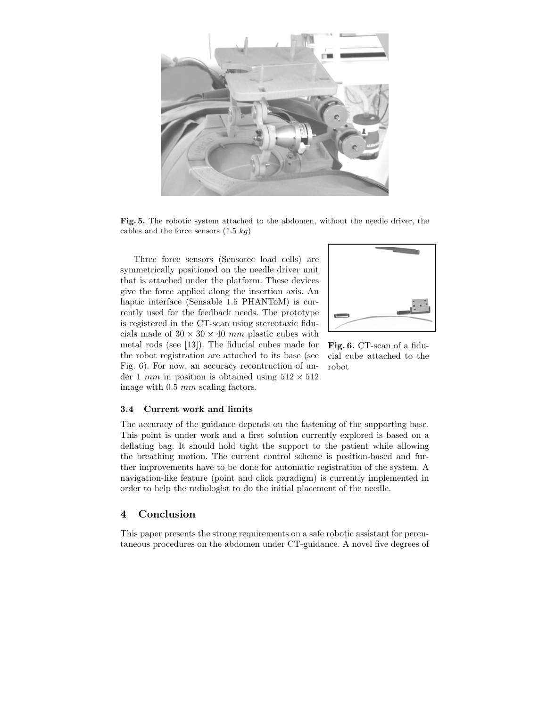

Fig. 5. The robotic system attached to the abdomen, without the needle driver, the cables and the force sensors  $(1.5\; kq)$ 

Three force sensors (Sensotec load cells) are symmetrically positioned on the needle driver unit that is attached under the platform. These devices give the force applied along the insertion axis. An haptic interface (Sensable 1.5 PHANToM) is currently used for the feedback needs. The prototype is registered in the CT-scan using stereotaxic fiducials made of  $30 \times 30 \times 40$  mm plastic cubes with metal rods (see [13]). The fiducial cubes made for the robot registration are attached to its base (see Fig. 6). For now, an accuracy recontruction of under 1 mm in position is obtained using  $512 \times 512$ image with 0.5 mm scaling factors.



Fig. 6. CT-scan of a fiducial cube attached to the robot

### 3.4 Current work and limits

The accuracy of the guidance depends on the fastening of the supporting base. This point is under work and a first solution currently explored is based on a deflating bag. It should hold tight the support to the patient while allowing the breathing motion. The current control scheme is position-based and further improvements have to be done for automatic registration of the system. A navigation-like feature (point and click paradigm) is currently implemented in order to help the radiologist to do the initial placement of the needle.

### 4 Conclusion

This paper presents the strong requirements on a safe robotic assistant for percutaneous procedures on the abdomen under CT-guidance. A novel five degrees of